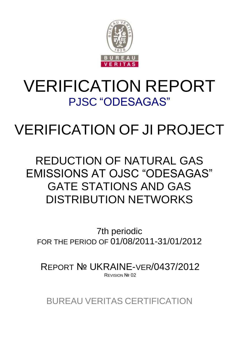

# VERIFICATION REPORT PJSC "ODESAGAS"

# VERIFICATION OF JI PROJECT

# REDUCTION OF NATURAL GAS EMISSIONS AT OJSC "ODESAGAS" GATE STATIONS AND GAS DISTRIBUTION NETWORKS

7th periodic FOR THE PERIOD OF 01/08/2011-31/01/2012

REPORT № UKRAINE-VER/0437/2012 REVISION Nº 02

BUREAU VERITAS CERTIFICATION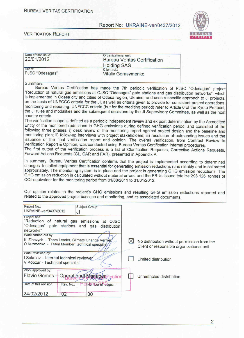





 $\overline{2}$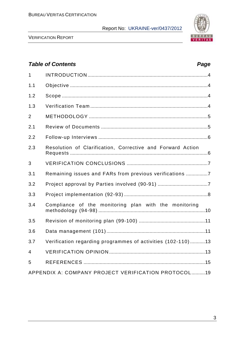

VERIFICATION REPORT

# *Table of Contents Page* 1 INTRODUCTION .........................................................................................4 1.1 Objective ......................................................................................................4 1.2 Scope ............................................................................................................4 1.3 Verification Team .......................................................................................4 2 METHODOLOGY ........................................................................................5 2.1 Review of Documents ...............................................................................5 2.2 Follow-up Interviews .................................................................................6 2.3 Resolution of Сlarification, Сorrective and Forward Action Requests ......................................................................................................6 3 VERIFICATION CONCLUSIONS ............................................................7 3.1 Remaining issues and FARs from previous verifications ................7 3.2 Project approval by Parties involved (90-91) .....................................7 3.3 Project implementation (92-93) ..............................................................8 3.4 Compliance of the monitoring plan with the monitoring methodology (94-98) ...............................................................................10 3.5 Revision of monitoring plan (99-100) .................................................11 3.6 Data management (101).........................................................................11 3.7 Verification regarding programmes of activities (102-110) ...........13 4 VERIFICATION OPINION .......................................................................13 5 REFERENCES ..........................................................................................15 APPENDIX A: COMPANY PROJECT VERIFICATION PROTOCOL..........19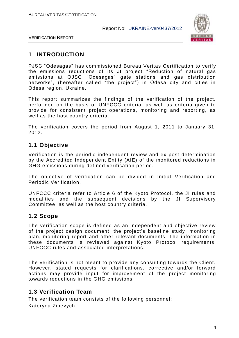

VERIFICATION REPORT

# **1 INTRODUCTION**

PJSC "Odesagas" has commissioned Bureau Veritas Certification to verify the emissions reductions of its JI project "Reduction of natural gas emissions at OJSC "Odesagas" gate stations and gas distribution networks", (hereafter called "the project") in Odesa city and cities in Odesa region, Ukraine.

This report summarizes the findings of the verification of the project, performed on the basis of UNFCCC criteria, as well as criteria given to provide for consistent project operations, monitoring and reporting, as well as the host country criteria.

The verification covers the period from August 1, 2011 to January 31, 2012.

# **1.1 Objective**

Verification is the periodic independent review and ex post determination by the Accredited Independent Entity (AIE) of the monitored reductions in GHG emissions during defined verification period.

The objective of verification can be divided in Initial Verification and Periodic Verification.

UNFCCC criteria refer to Article 6 of the Kyoto Protocol, the JI rules and modalities and the subsequent decisions by the JI Supervisory Committee, as well as the host country criteria.

# **1.2 Scope**

The verification scope is defined as an independent and objective review of the project design document, the project's baseline study, monitoring plan, monitoring report and other relevant documents. The information in these documents is reviewed against Kyoto Protocol requirements, UNFCCC rules and associated interpretations.

The verification is not meant to provide any consulting towards the Client. However, stated requests for clarifications, corrective and/or forward actions may provide input for improvement of the project monitoring towards reductions in the GHG emissions.

# **1.3 Verification Team**

The verification team consists of the following personnel: Kateryna Zinevych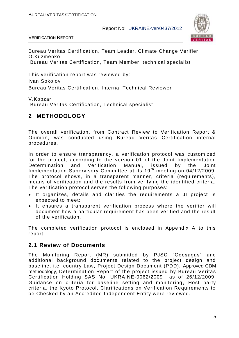

VERIFICATION REPORT

Bureau Veritas Certification, Team Leader, Climate Change Verifier O.Kuzmenko Bureau Veritas Certification, Team Member, technical specialist

This verification report was reviewed by: Ivan Sokolov Bureau Veritas Certification, Internal Technical Reviewer

V.Kobzar

Bureau Veritas Certification, Technical specialist

# **2 METHODOLOGY**

The overall verification, from Contract Review to Verification Report & Opinion, was conducted using Bureau Veritas Certification internal procedures.

In order to ensure transparency, a verification protocol was customized for the project, according to the version 01 of the Joint Implementation Determination and Verification Manual, issued by the Joint Implementation Supervisory Committee at its 19<sup>th</sup> meeting on 04/12/2009. The protocol shows, in a transparent manner, criteria (requirements), means of verification and the results from verifying the identified criteria. The verification protocol serves the following purposes:

- It organizes, details and clarifies the requirements a JI project is expected to meet;
- It ensures a transparent verification process where the verifier will document how a particular requirement has been verified and the result of the verification.

The completed verification protocol is enclosed in Appendix A to this report.

# **2.1 Review of Documents**

The Monitoring Report (MR) submitted by PJSC "Odesagas" and additional background documents related to the project design and baseline, i.e. country Law, Project Design Document (PDD), Approved CDM methodology, Determination Report of the project issued by Bureau Veritas Certification Holding SAS No. UKRAINE-0062/2009 as of 26/12/2009, Guidance on criteria for baseline setting and monitoring, Host party criteria, the Kyoto Protocol, Clarifications on Verification Requirements to be Checked by an Accredited Independent Entity were reviewed.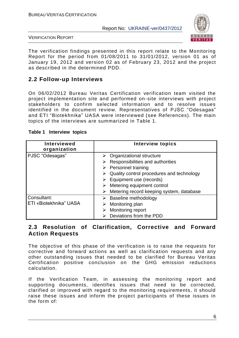

VERIFICATION REPORT

The verification findings presented in this report relate to the Monitoring Report for the period from 01/08/2011 to 31/01/2012, version 01 as of January 19, 2012 and version 02 as of February 23, 2012 and the project as described in the determined PDD.

# **2.2 Follow-up Interviews**

On 06/02/2012 Bureau Veritas Certification verification team visited the project implementation site and performed on-site interviews with project stakeholders to confirm selected information and to resolve issues identified in the document review. Representatives of PJSC "Odesagas" and ETI "Biotekhnika" UASA were interviewed (see References). The main topics of the interviews are summarized in Table 1.

| <b>Interviewed</b><br>organization    | <b>Interview topics</b>                                                                                                                                                                                                                                                                                       |
|---------------------------------------|---------------------------------------------------------------------------------------------------------------------------------------------------------------------------------------------------------------------------------------------------------------------------------------------------------------|
| PJSC "Odesagas"                       | $\triangleright$ Organizational structure<br>Responsibilities and authorities<br>$\triangleright$ Personnel training<br>Quality control procedures and technology<br>$\triangleright$ Equipment use (records)<br>$\triangleright$ Metering equipment control<br>Metering record keeping system, database<br>➤ |
| Consultant:<br>ETI «Biotekhnika" UASA | <b>Baseline methodology</b><br>➤<br>Monitoring plan<br>Monitoring report<br>Deviations from the PDD                                                                                                                                                                                                           |

#### **Table 1 Interview topics**

# **2.3 Resolution of Clarification, Corrective and Forward Action Requests**

The objective of this phase of the verification is to raise the requests for corrective and forward actions as well as clarification requests and any other outstanding issues that needed to be clarified for Bureau Veritas Certification positive conclusion on the GHG emission reductions calculation.

If the Verification Team, in assessing the monitoring report and supporting documents, identifies issues that need to be corrected, clarified or improved with regard to the monitoring requirements, it should raise these issues and inform the project participants of these issues in the form of: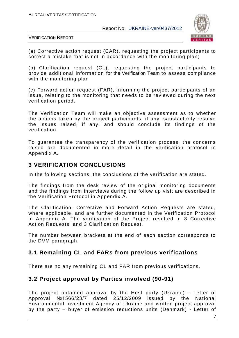

VERIFICATION REPORT

(а) Corrective action request (CAR), requesting the project participants to correct a mistake that is not in accordance with the monitoring plan;

(b) Clarification request (CL), requesting the project participants to provide additional information for the Verification Team to assess compliance with the monitoring plan

(c) Forward action request (FAR), informing the project participants of an issue, relating to the monitoring that needs to be reviewed during the next verification period.

The Verification Team will make an objective assessment as to whether the actions taken by the project participants, if any, satisfactorily resolve the issues raised, if any, and should conclude its findings of the verification.

To guarantee the transparency of the verification process, the concerns raised are documented in more detail in the verification protocol in Appendix A.

# **3 VERIFICATION CONCLUSIONS**

In the following sections, the conclusions of the verification are stated.

The findings from the desk review of the original monitoring documents and the findings from interviews during the follow up visit are described in the Verification Protocol in Appendix A.

The Clarification, Corrective and Forward Action Requests are stated, where applicable, and are further documented in the Verification Protocol in Appendix A. The verification of the Project resulted in 8 Corrective Action Requests, and 3 Clarification Request.

The number between brackets at the end of each section corresponds to the DVM paragraph.

# **3.1 Remaining CL and FARs from previous verifications**

There are no any remaining CL and FAR from previous verifications.

# **3.2 Project approval by Parties involved (90-91)**

The project obtained approval by the Host party (Ukraine) - Letter of Approval №1566/23/7 dated 25/12/2009 issued by the National Environmental Investment Agency of Ukraine and written project approval by the party – buyer of emission reductions units (Denmark) - Letter of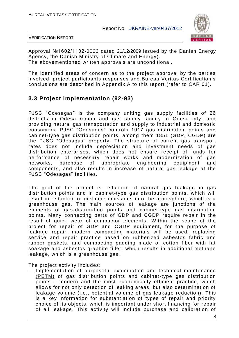

VERIFICATION REPORT

Approval №1602/1102-0023 dated 21/12/2009 issued by the Danish Energy Agency, the Danish Ministry of Climate and Energy). The abovementioned written approvals are unconditional.

The identified areas of concern as to the project approval by the parties involved, project participants responses and Bureau Veritas Certification"s conclusions are described in Appendix A to this report (refer to CAR 01).

# **3.3 Project implementation (92-93)**

PJSC "Odesagas" is the company uniting gas supply facilities of 26 districts in Odesa region and gas supply facility in Odesa city, and providing natural gas transportation and supply to industrial and domestic consumers. PJSC "Odesagas" controls 1917 gas distribution points and cabinet-type gas distribution points, among them 1851 (GDP, CGDP) are the PJSC "Odesagas" property. The structure of current gas transport rates does not include depreciation and investment needs of gas distribution enterprises, which does not ensure receipt of funds for performance of necessary repair works and modernization of gas networks, purchase of appropriate engineering equipment and components, and also results in increase of natural gas leakage at the PJSC "Odesagas" facilities.

The goal of the project is reduction of natural gas leakage in gas distribution points and in cabinet-type gas distribution points, which will result in reduction of methane emissions into the atmosphere, which is a greenhouse gas. The main sources of leakage are junctions of the elements of gas-distribution points and cabinet-type gas distribution points. Many connecting parts of GDP and CGDP require repair in the result of quick wear of compactor elements. Within the scope of the project for repair of GDP and CGDP equipment, for the purpose of leakage repair, modern compacting materials will be used, replacing service and repair practice based on rubberized asbestos fabric and rubber gaskets, and compacting padding made of cotton fiber with fat soakage and asbestos graphite filler, which results in additional methane leakage, which is a greenhouse gas.

The project activity includes:

Implementation of purposeful examination and technical maintenance (PETM) of gas distribution points and cabinet-type gas distribution points – modern and the most economically efficient practice, which allows for not only detection of leaking areas, but also determination of leakage volume (i.e., potential volume of gas leakage reduction). This is a key information for substantiation of types of repair and priority choice of its objects, which is important under short financing for repair of all leakage. This activity will include purchase and calibration of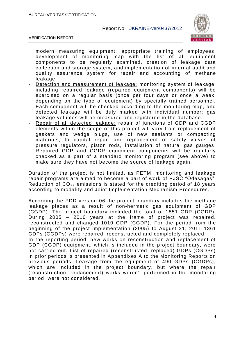

VERIFICATION REPORT

modern measuring equipment, appropriate training of employees, development of monitoring map with the list of all equipment components to be regularly examined, creation of leakage data collection and storage system, and implementation of internal audit and quality assurance system for repair and accounting of methane leakage.

- Detection and measurement of leakage: monitoring system of leakage, including repaired leakage (repaired equipment components) will be exercised on a regular basis (once per four days or once a week, depending on the type of equipment) by specially trained personnel. Each component will be checked according to the monitoring map, and detected leakage will be duly marked with individual number; gas leakage volumes will be measured and registered in the database.
- Repair of all detected leakage: repair of junctions of GDP and CGDP elements within the scope of this project will vary from replacement of gaskets and wedge plugs, use of new sealants or compacting materials, to capital repair and replacement of safety valves of pressure regulators, piston rods, installation of natural gas gauges. Repaired GDP and CGDP equipment components will be regularly checked as a part of a standard monitoring program (see above) to make sure they have not become the source of leakage again.

Duration of the project is not limited, as PETM, monitoring and leakage repair programs are aimed to become a part of work of PJSC "Odesagas". Reduction of  $CO<sub>2e</sub>$  emissions is stated for the crediting period of 18 years according to modality and Joint Implementation Mechanism Procedures.

According the PDD version 06 the project boundary includes the methane leakage places as a result of non-hermetic gas equipment of GDP (CGDP). The project boundary included the total of 1851 GDP (CGDP). During 2005 – 2010 years at the frame of project was repaired, reconstructed and changed 1010 GDP (CGDP). For the period from the beginning of the project implementation (2005) to August 31, 2011 1361 GDPs (CGDPs) were repaired, reconstructed and completely replaced. In the reporting period, new works on reconstruction and replacement of GDP (CGDP) equipment, which is included in the project boundary, were not carried out. List of repaired (reconstructed, replaced) GDPs (CGDPs) in prior periods is presented in Appendixes A to the Monitoring Reports on previous periods. Leakage from the equipment of 490 GDPs (CGDPs), which are included in the project boundary, but where the repair (reconstruction, replacement) works weren"t performed in the monitoring period, were not considered.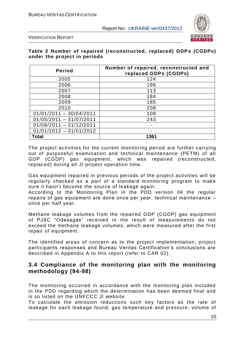

VERIFICATION REPORT

#### **Table 2 Number of repaired (reconstructed, replaced) GDPs (CGDPs) under the project in periods**

| <b>Period</b>             | Number of repaired, reconstructed and<br>replaced GDPs (CGDPs) |
|---------------------------|----------------------------------------------------------------|
| 2005                      | 124                                                            |
| 2006                      | 196                                                            |
| 2007                      | 113                                                            |
| 2008                      | 184                                                            |
| 2009                      | 185                                                            |
| 2010                      | 208                                                            |
| $01/01/2011 - 30/04/2011$ | 108                                                            |
| $01/05/2011 - 31/07/2011$ | 243                                                            |
| $01/08/2011 - 31/12/2011$ |                                                                |
| $01/01/2012 - 31/01/2012$ |                                                                |
| <b>Total</b>              | 1361                                                           |

The project activities for the current monitoring period are further carrying out of purposeful examination and technical maintenance (PETM) of all GDP (CGDP) gas equipment, which was repaired (reconstructed, replaced) during all JI project operation time.

Gas equipment repaired in previous periods of the project activities will be regularly checked as a part of a standard monitoring program to make sure it hasn't become the source of leakage again.

According to the Monitoring Plan in the PDD version 06 the regular repairs оf gas equipment are done once per year, technical maintenance – once per half year.

Methane leakage volumes from the repaired GDP (CGDP) gas equipment of PJSC "Odesagas" received in the result of measurements do not exceed the methane leakage volumes, which were measured after the first repair of equipment.

The identified areas of concern as to the project implementation, project participants responses and Bureau Veritas Certification"s conclusions are described in Appendix A to this report (refer to CAR 02).

# **3.4 Compliance of the monitoring plan with the monitoring methodology (94-98)**

The monitoring occurred in accordance with the monitoring plan included in the PDD regarding which the determination has been deemed final and is so listed on the UNFCCC JI website.

To calculate the emission reductions such key factors as the rate of leakage for each leakage found, gas temperature and pressure, volume of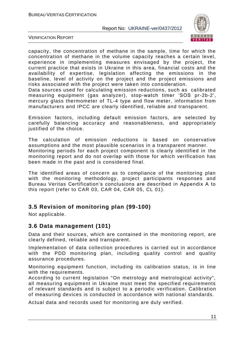

VERIFICATION REPORT

capacity, the concentration of methane in the sample, time for which the concentration of methane in the volume capacity reaches a certain level, experience in implementing measures envisaged by the project, the current practice that exists in Ukraine in this area, financial costs and the availability of expertise, legislation affecting the emissions in the baseline, level of activity on the project and the project emissions and risks associated with the project were taken into consideration.

Data sources used for calculating emission reductions, such as calibrated measuring equipment (gas analyzer), stop-watch timer "SOS pr-2b-2', mercury glass thermometer of TL-4 type and flow meter, information from manufacturers and IPCC are clearly identified, reliable and transparent.

Emission factors, including default emission factors, are selected by carefully balancing accuracy and reasonableness, and appropriately justified of the choice.

The calculation of emission reductions is based on conservative assumptions and the most plausible scenarios in a transparent manner. Monitoring periods for each project component is clearly identified in the monitoring report and do not overlap with those for which verification has been made in the past and is considered final.

The identified areas of concern as to compliance of the monitoring plan with the monitoring methodology, project participants responses and Bureau Veritas Certification"s conclusions are described in Appendix A to this report (refer to CAR 03, CAR 04, CAR 05, CL 01).

# **3.5 Revision of monitoring plan (99-100)**

Not applicable.

# **3.6 Data management (101)**

Data and their sources, which are contained in the monitoring report, are clearly defined, reliable and transparent.

Implementation of data collection procedures is carried out in accordance with the PDD monitoring plan, including quality control and quality assurance procedures.

Monitoring equipment function, including its calibration status, is in line with the requirements.

According to current legislation "On metrology and metrological activity", all measuring equipment in Ukraine must meet the specified requirements of relevant standards and is subject to a periodic verification. Calibration of measuring devices is conducted in accordance with national standards.

Actual data and records used for monitoring are duly verified.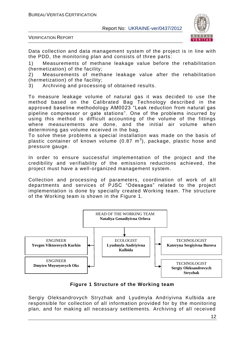

VERIFICATION REPORT

Data collection and data management system of the project is in line with the PDD, the monitoring plan and consists of three parts:

1) Measurements of methane leakage value before the rehabilitation (hermetization) of the facility;

2) Measurements of methane leakage value after the rehabilitation (hermetization) of the facility;

3) Archiving and processing of obtained results.

To measure leakage volume of natural gas it was decided to use the method based on the Calibrated Bag Technology described in the approved baseline methodology AM0023 "Leak reduction from natural gas pipeline compressor or gate stations". One of the problems incurred by using this method is difficult accounting of the volume of the fittings where measurements are done, and the initial air volume when determining gas volume received in the bag.

To solve these problems a special installation was made on the basis of plastic container of known volume (0.87  $\textsf{m}^{3}$ ), package, plastic hose and pressure gauge.

In order to ensure successful implementation of the project and the credibility and verifiability of the emissions reductions achieved, the project must have a well-organized management system.

Collection and processing of parameters, coordination of work of all departments and services of PJSC "Odesagas" related to the project implementation is done by specially created Working team. The structure of the Working team is shown in the Figure 1.



**Figure 1 Structure of the Working team**

Sergiy Oleksandrovych Stryzhak and Lyudmyla Andriyivna Kulbida are responsible for collection of all information provided for by the monitoring plan, and for making all necessary settlements. Archiving of all received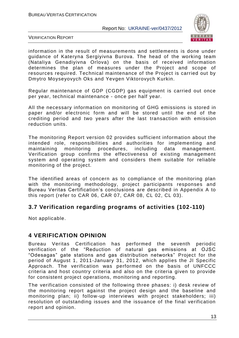

VERIFICATION REPORT

information in the result of measurements and settlements is done under guidance of Kateryna Sergiyivna Burova. The head of the working team (Nataliya Genadiyivna Orlova) on the basis of received information determines the plan of measures under the Project and scope of resources required. Technical maintenance of the Project is carried out by Dmytro Moyseyovych Oks and Yevgen Viktorovych Kurkin.

Regular maintenance of GDP (CGDP) gas equipment is carried out once per year, technical maintenance - once per half year.

All the necessary information on monitoring of GHG emissions is stored in paper and/or electronic form and will be stored until the end of the crediting period and two years after the last transaction with emission reduction units.

The monitoring Report version 02 provides sufficient information about the intended role, responsibilities and authorities for implementing and maintaining monitoring procedures, including data management. Verification group confirms the effectiveness of existing management system and operating system and considers them suitable for reliable monitoring of the project.

The identified areas of concern as to compliance of the monitoring plan with the monitoring methodology, project participants responses and Bureau Veritas Certification"s conclusions are described in Appendix A to this report (refer to CAR 06, CAR 07, CAR 08, CL 02, CL 03).

# **3.7 Verification regarding programs of activities (102-110)**

Not applicable.

# **4 VERIFICATION OPINION**

Bureau Veritas Certification has performed the seventh periodic verification of the "Reduction of natural gas emissions at OJSC "Odesagas" gate stations and gas distribution networks" Project for the period of August 1, 2011-January 31, 2012, which applies the JI Specific Approach. The verification was performed on the basis of UNFCCC criteria and host country criteria and also on the criteria given to provide for consistent project operations, monitoring and reporting.

The verification consisted of the following three phases: i) desk review of the monitoring report against the project design and the baseline and monitoring plan; ii) follow-up interviews with project stakeholders; iii) resolution of outstanding issues and the issuance of the final verification report and opinion.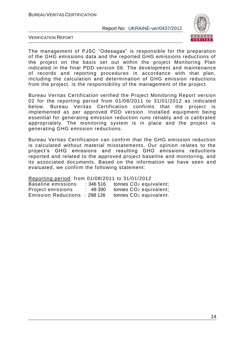

VERIFICATION REPORT

The management of PJSC "Odesagas" is responsible for the preparation of the GHG emissions data and the reported GHG emissions reductions of the project on the basis set out within the project Monitoring Plan indicated in the final PDD version 06. The development and maintenance of records and reporting procedures in accordance with that plan, including the calculation and determination of GHG emission reductions from the project, is the responsibility of the management of the project.

Bureau Veritas Certification verified the Project Monitoring Report version 02 for the reporting period from 01/08/2011 to 31/01/2012 as indicated below. Bureau Veritas Certification confirms that the project is implemented as per approved PDD version. Installed equipment being essential for generating emission reduction runs reliably and is calibrated appropriately. The monitoring system is in place and the project is generating GHG emission reductions.

Bureau Veritas Certification can confirm that the GHG emission reduction is calculated without material misstatements. Our opinion relates to the project"s GHG emissions and resulting GHG emissions reductions reported and related to the approved project baseline and monitoring, and its associated documents. Based on the information we have seen a nd evaluated, we confirm the following statement:

Reporting period: from 01/08/2011 to 31/01/2012

| Baseline emissions            | :346 516 | tonnes CO <sub>2</sub> equivalent; |
|-------------------------------|----------|------------------------------------|
| Project emissions             | : 48 390 | tonnes CO <sub>2</sub> equivalent; |
| Emission Reductions : 298 126 |          | tonnes CO <sub>2</sub> equivalent. |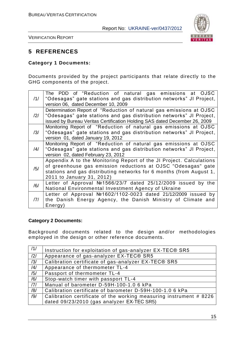

VERIFICATION REPORT

# **5 REFERENCES**

#### **Category 1 Documents:**

Documents provided by the project participants that relate directly to the GHG components of the project.

| /1/            | The PDD of "Reduction of natural gas emissions at OJSC<br>"Odesagas" gate stations and gas distribution networks" JI Project,<br>version 06, dated December 10, 2009                                                                     |
|----------------|------------------------------------------------------------------------------------------------------------------------------------------------------------------------------------------------------------------------------------------|
| $\frac{12}{1}$ | Determination Report of "Reduction of natural gas emissions at OJSC<br>"Odesagas" gate stations and gas distribution networks" JI Project,<br>issued by Bureau Veritas Certification Holding SAS dated December 26, 2009                 |
| /3/            | Monitoring Report of "Reduction of natural gas emissions at OJSC<br>"Odesagas" gate stations and gas distribution networks" JI Project,<br>version 01, dated January 19, 2012                                                            |
| /4/            | Monitoring Report of "Reduction of natural gas emissions at OJSC<br>"Odesagas" gate stations and gas distribution networks" JI Project,<br>version 02, dated February 23, 2012                                                           |
| /5/            | Appendix A to the Monitoring Report of the JI Project. Calculations<br>of greenhouse gas emission reductions at OJSC "Odesagas" gate<br>stations and gas distributing networks for 6 months (from August 1,<br>2011 to January 31, 2012) |
| /6/            | Letter of Approval $N21566/23/7$ dated 25/12/2009 issued by the<br>National Environmental Investment Agency of Ukraine                                                                                                                   |
| 7              | Letter of Approval $N21602/1102-0023$ dated 21/12/2009 issued by<br>the Danish Energy Agency, the Danish Ministry of Climate and<br>Energy)                                                                                              |

#### **Category 2 Documents:**

Background documents related to the design and/or methodologies employed in the design or other reference documents.

| /1/ | Instruction for exploitation of gas-analyzer EX-TEC® SR5           |
|-----|--------------------------------------------------------------------|
| /2/ | Appearance of gas-analyzer EX-TEC® SR5                             |
| /3/ | Calibration certificate of gas-analyzer EX-TEC® SR5                |
| /4/ | Appearance of thermometer TL-4                                     |
| /5/ | Passport of thermometer TL-4                                       |
| /6/ | Stop-watch timer with passport TL-4                                |
| 7   | Manual of barometer D-59H-100-1.0 6 kPa                            |
| /8/ | Calibration certificate of barometer D-59H-100-1.0 6 kPa           |
| /9/ | Calibration certificate of the working measuring instrument # 8226 |
|     | dated 09/23/2010 (gas analyzer EX-TEC SR5)                         |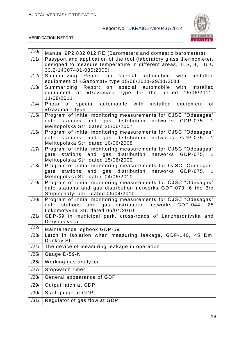

| /10/ | Manual 9P2.832.012 RE (Barometers and domestic barometers)                                            |
|------|-------------------------------------------------------------------------------------------------------|
| /11/ | Passport and application of the tool (laboratory glass thermometer,                                   |
|      | designed to measure temperature in different areas, TLS, 4, TU U                                      |
| /12/ | 33.2-14307481-035:2005)<br>special automobile with<br>installed                                       |
|      | Summarizing Report on<br>equipment of «Gazomat» type 15/06/2011-29/11/2011                            |
| /13/ | Summarizing Report on special automobile with installed                                               |
|      | equipment of «Gazomat» type for the period<br>15/06/2011-<br>11/08/2011                               |
| /14/ | Photo of special automobile with installed equipment<br>0f<br>«Gazomat» type                          |
| /15/ | Program of initial monitoring measurements for OJSC "Odesagas"                                        |
|      | stations and gas distribution networks GDP-075,<br>gate<br>1.                                         |
| /16/ | Melitopolska Str. dated 25/06/2007<br>Program of initial monitoring measurements for OJSC "Odesagas"  |
|      | gate stations and gas distribution networks GDP-075,<br>$\overline{\phantom{1}}$                      |
|      | Melitopolska Str. dated 10/06/2008                                                                    |
| /17/ | Program of initial monitoring measurements for OJSC "Odesagas"                                        |
|      | gate stations and gas distribution networks GDP-075,<br>-1                                            |
| /18/ | Melitopolska Str. dated 15/06/2009<br>Program of initial monitoring measurements for OJSC "Odesagas"  |
|      | gate stations and gas distribution networks GDP-075, 1                                                |
|      | Melitopolska Str. dated 04/06/2010                                                                    |
| /19/ | Program of initial monitoring measurements for OJSC "Odesagas"                                        |
|      | gate stations and gas distribution networks GDP-073, 6 the 3rd                                        |
| /20/ | Stupinchatyi per., dated 05/04/2010<br>Program of initial monitoring measurements for OJSC "Odesagas" |
|      | gate stations and gas distribution networks GDP-044, 25                                               |
|      | Lokomotyvna Str. dated 06/04/2010                                                                     |
| /21/ | GDP-59 in municipal park, cross-roads of Lanzheronivska and                                           |
| /22/ | Derybasivska                                                                                          |
|      | Maintenance logbook GDP-59                                                                            |
| /23/ | Latch in isolation when measuring leakage, GDP-140, 45 Dm.<br>Donkoy Str.                             |
| /24/ | The device of measuring leakage in operation                                                          |
| /25/ | Gauge D-59-N                                                                                          |
| /26/ | Working gas analyzer                                                                                  |
| /27/ | Stopwatch timer                                                                                       |
| /28/ | General appearance of GDP                                                                             |
| /29/ | Output latch at GDP                                                                                   |
| /30/ | Staff gauge at GDP                                                                                    |
| /31/ | Regulator of gas flow at GDP                                                                          |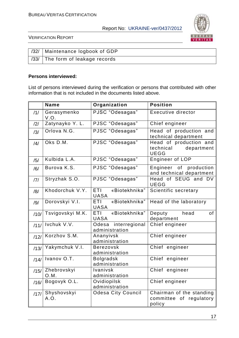

VERIFICATION REPORT

| /32/   Maintenance logbook of GDP |
|-----------------------------------|
| /33/ The form of leakage records  |

#### **Persons interviewed:**

List of persons interviewed during the verification or persons that contributed with other information that is not included in the documents listed above.

|      | <b>Name</b>         | Organization                               | <b>Position</b>                                                  |  |
|------|---------------------|--------------------------------------------|------------------------------------------------------------------|--|
| /1/  | Gerasymenko<br>V.O. | PJSC "Odesagas"                            | <b>Executive director</b>                                        |  |
| /2/  | Zatynayko Y. L.     | PJSC "Odesagas"                            | Chief engineer                                                   |  |
| /3/  | Orlova N.G.         | PJSC "Odesagas"                            | Head of production and<br>technical department                   |  |
| /4/  | Oks D.M.            | PJSC "Odesagas"                            | Head of production and<br>technical<br>department<br><b>UEGG</b> |  |
| /5/  | Kulbida L.A.        | PJSC "Odesagas"                            | Engineer of LOP                                                  |  |
| /6/  | Burova K.S.         | PJSC "Odesagas"                            | Engineer of production<br>and technical department               |  |
| 7    | Stryzhak S.O.       | PJSC "Odesagas"                            | Head of SEUG and DV<br><b>UEGG</b>                               |  |
| /8/  | Khodorchuk V.Y.     | «Biotekhnika"<br><b>ETI</b><br><b>UASA</b> | Scientific secretary                                             |  |
| /9/  | Dorovskyi V.I.      | «Biotekhnika"<br>ETI<br><b>UASA</b>        | Head of the laboratory                                           |  |
| /10/ | Tsvigovskyi M.K.    | «Biotekhnika"<br>ETI<br><b>UASA</b>        | Deputy<br>head<br>of<br>department                               |  |
| /11/ | Ivchuk V.V.         | Odesa interregional<br>administration      | Chief engineer                                                   |  |
| /12/ | Korzhov S.M.        | Ananyivsk<br>administration                | Chief engineer                                                   |  |
| /13/ | Yakymchuk V.I.      | <b>Berezovsk</b><br>administration         | Chief engineer                                                   |  |
| /14/ | Ivanov O.T.         | <b>Bolgradsk</b><br>administration         | Chief engineer                                                   |  |
| /15/ | Zhebrovskyi<br>O.M. | Ivanivsk<br>administration                 | Chief engineer                                                   |  |
| /16/ | Bogovyk O.L.        | Ovidiopilsk<br>administration              | Chief engineer                                                   |  |
| /17/ | Shyshovskyi<br>A.O. | <b>Odesa City Council</b>                  | Chairman of the standing<br>committee of regulatory<br>policy    |  |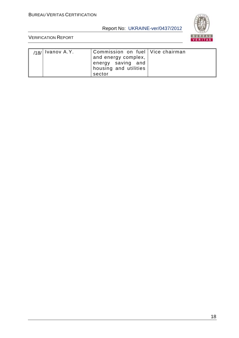

| $\frac{1}{18}$   Ivanov A.Y. | Commission on fuel   Vice chairman<br>and energy complex,<br>energy saving and |  |
|------------------------------|--------------------------------------------------------------------------------|--|
|                              | housing and utilities                                                          |  |
|                              | sector                                                                         |  |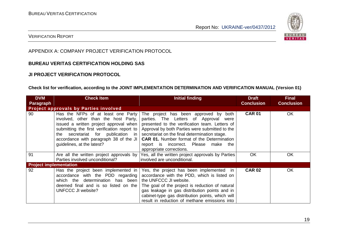

#### VERIFICATION REPORT

#### APPENDIX A: COMPANY PROJECT VERIFICATION PROTOCOL

#### **BUREAU VERITAS CERTIFICATION HOLDING SAS**

#### **JI PROJECT VERIFICATION PROTOCOL**

#### **Check list for verification, according to the JOINT IMPLEMENTATION DETERMINATION AND VERIFICATION MANUAL (Version 01)**

| <b>DVM</b>                    | <b>Check Item</b>                                                                                                                                                                                                                                                                      | Initial finding                                                                                                                                                                                                                                                                                                                                                    | <b>Draft</b>      | <b>Final</b>      |
|-------------------------------|----------------------------------------------------------------------------------------------------------------------------------------------------------------------------------------------------------------------------------------------------------------------------------------|--------------------------------------------------------------------------------------------------------------------------------------------------------------------------------------------------------------------------------------------------------------------------------------------------------------------------------------------------------------------|-------------------|-------------------|
| <b>Paragraph</b>              |                                                                                                                                                                                                                                                                                        |                                                                                                                                                                                                                                                                                                                                                                    | <b>Conclusion</b> | <b>Conclusion</b> |
|                               | <b>Project approvals by Parties involved</b>                                                                                                                                                                                                                                           |                                                                                                                                                                                                                                                                                                                                                                    |                   |                   |
| 90                            | Has the NFPs of at least one Party<br>involved, other than the host Party,<br>issued a written project approval when  <br>submitting the first verification report to<br>secretariat for publication in<br>the<br>accordance with paragraph 38 of the JI<br>guidelines, at the latest? | The project has been approved by both<br>parties. The Letters of Approval<br>were<br>presented to the verification team. Letters of<br>Approval by both Parties were submitted to the<br>secretariat on the final determination stage.<br><b>CAR 01.</b> Number format of the Determination<br>report is incorrect. Please<br>make the<br>appropriate corrections. | <b>CAR 01</b>     | <b>OK</b>         |
| 91                            | Are all the written project approvals by<br>Parties involved unconditional?                                                                                                                                                                                                            | Yes, all the written project approvals by Parties<br>involved are unconditional.                                                                                                                                                                                                                                                                                   | <b>OK</b>         | OK                |
| <b>Project implementation</b> |                                                                                                                                                                                                                                                                                        |                                                                                                                                                                                                                                                                                                                                                                    |                   |                   |
| 92                            | Has the project been implemented in<br>accordance with the PDD regarding<br>which the determination has been<br>deemed final and is so listed on the<br><b>UNFCCC JI website?</b>                                                                                                      | Yes, the project has been implemented in<br>accordance with the PDD, which is listed on<br>the UNFCCC JI website.<br>The goal of the project is reduction of natural<br>gas leakage in gas distribution points and in<br>cabinet-type gas distribution points, which will<br>result in reduction of methane emissions into                                         | <b>CAR 02</b>     | <b>OK</b>         |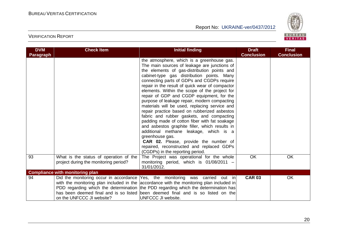

| <b>DVM</b><br>Paragraph | <b>Check Item</b>                                                               | <b>Initial finding</b>                                                                                                                                                                                                                                                                                                                                                                                                                                                                                                                                                                                                                                                                                                                                                                                                                                                                | <b>Draft</b><br><b>Conclusion</b> | <b>Final</b><br><b>Conclusion</b> |
|-------------------------|---------------------------------------------------------------------------------|---------------------------------------------------------------------------------------------------------------------------------------------------------------------------------------------------------------------------------------------------------------------------------------------------------------------------------------------------------------------------------------------------------------------------------------------------------------------------------------------------------------------------------------------------------------------------------------------------------------------------------------------------------------------------------------------------------------------------------------------------------------------------------------------------------------------------------------------------------------------------------------|-----------------------------------|-----------------------------------|
|                         |                                                                                 | the atmosphere, which is a greenhouse gas.<br>The main sources of leakage are junctions of<br>the elements of gas-distribution points and<br>cabinet-type gas distribution points. Many<br>connecting parts of GDPs and CGDPs require<br>repair in the result of quick wear of compactor<br>elements. Within the scope of the project for<br>repair of GDP and CGDP equipment, for the<br>purpose of leakage repair, modern compacting<br>materials will be used, replacing service and<br>repair practice based on rubberized asbestos<br>fabric and rubber gaskets, and compacting<br>padding made of cotton fiber with fat soakage<br>and asbestos graphite filler, which results in<br>additional methane leakage, which is a<br>greenhouse gas.<br><b>CAR 02.</b> Please, provide the number of<br>repaired, reconstructed and replaced GDPs<br>(CGDPs) in the reporting period. |                                   |                                   |
| 93                      | What is the status of operation of the<br>project during the monitoring period? | The Project was operational for the whole<br>monitoring period, which is $01/08/2011 -$<br>31/01/2012.                                                                                                                                                                                                                                                                                                                                                                                                                                                                                                                                                                                                                                                                                                                                                                                | OK                                | <b>OK</b>                         |
|                         | <b>Compliance with monitoring plan</b>                                          |                                                                                                                                                                                                                                                                                                                                                                                                                                                                                                                                                                                                                                                                                                                                                                                                                                                                                       |                                   |                                   |
| 94                      | on the UNFCCC JI website?                                                       | Did the monitoring occur in accordance Yes, the monitoring was carried out in<br>with the monitoring plan included in the accordance with the monitoring plan included in<br>PDD regarding which the determination the PDD regarding which the determination has<br>has been deemed final and is so listed been deemed final and is so listed on the<br>UNFCCC JI website.                                                                                                                                                                                                                                                                                                                                                                                                                                                                                                            | <b>CAR 03</b>                     | <b>OK</b>                         |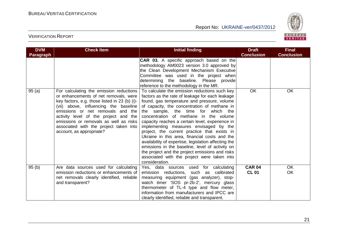

| <b>DVM</b>       | <b>Check Item</b>                                                                                                                                                                                                                                                                                                                                                        | <b>Initial finding</b>                                                                                                                                                                                                                                                                                                                                                                                                                                                                                                                                                                                                                                                                                       | <b>Draft</b>                  | <b>Final</b>           |
|------------------|--------------------------------------------------------------------------------------------------------------------------------------------------------------------------------------------------------------------------------------------------------------------------------------------------------------------------------------------------------------------------|--------------------------------------------------------------------------------------------------------------------------------------------------------------------------------------------------------------------------------------------------------------------------------------------------------------------------------------------------------------------------------------------------------------------------------------------------------------------------------------------------------------------------------------------------------------------------------------------------------------------------------------------------------------------------------------------------------------|-------------------------------|------------------------|
| <b>Paragraph</b> |                                                                                                                                                                                                                                                                                                                                                                          | <b>CAR 03.</b> A specific approach based on the<br>methodology AM0023 version 3.0 approved by<br>the Clean Development Mechanism Executive<br>Committee was used in the project when<br>determining the baseline. Please provide<br>reference to the methodology in the MR.                                                                                                                                                                                                                                                                                                                                                                                                                                  | <b>Conclusion</b>             | <b>Conclusion</b>      |
| 95(a)            | For calculating the emission reductions<br>or enhancements of net removals, were<br>key factors, e.g. those listed in 23 (b) (i)-<br>(vii) above, influencing the baseline<br>emissions or net removals and the<br>activity level of the project and the<br>emissions or removals as well as risks<br>associated with the project taken into<br>account, as appropriate? | To calculate the emission reductions such key<br>factors as the rate of leakage for each leakage<br>found, gas temperature and pressure, volume<br>of capacity, the concentration of methane in<br>the sample, the time for which the<br>concentration of methane in the volume<br>capacity reaches a certain level, experience in<br>implementing measures envisaged by the<br>project, the current practice that exists in<br>Ukraine in this area, financial costs and the<br>availability of expertise, legislation affecting the<br>emissions in the baseline, level of activity on<br>the project and the project emissions and risks<br>associated with the project were taken into<br>consideration. | <b>OK</b>                     | <b>OK</b>              |
| 95(b)            | Are data sources used for calculating<br>emission reductions or enhancements of<br>net removals clearly identified, reliable<br>and transparent?                                                                                                                                                                                                                         | Yes, data sources used for calculating<br>emission reductions, such as<br>calibrated<br>measuring equipment (gas analyzer), stop-<br>watch timer 'SOS pr-2b-2', mercury glass<br>thermometer of TL-4 type and flow meter,<br>information from manufacturers and IPCC are<br>clearly identified, reliable and transparent.                                                                                                                                                                                                                                                                                                                                                                                    | <b>CAR 04</b><br><b>CL 01</b> | <b>OK</b><br><b>OK</b> |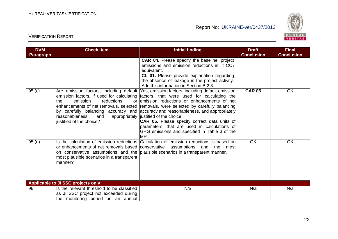

| <b>DVM</b>       | <b>Check Item</b>                                                                                                         | <b>Initial finding</b>                                                                                                                                                                                                                                                                                                                                                                                                                                                                                                                                                                                                | <b>Draft</b>      | <b>Final</b>      |
|------------------|---------------------------------------------------------------------------------------------------------------------------|-----------------------------------------------------------------------------------------------------------------------------------------------------------------------------------------------------------------------------------------------------------------------------------------------------------------------------------------------------------------------------------------------------------------------------------------------------------------------------------------------------------------------------------------------------------------------------------------------------------------------|-------------------|-------------------|
| <b>Paragraph</b> |                                                                                                                           |                                                                                                                                                                                                                                                                                                                                                                                                                                                                                                                                                                                                                       | <b>Conclusion</b> | <b>Conclusion</b> |
|                  |                                                                                                                           | <b>CAR 04.</b> Please specify the baseline, project<br>emissions and emission reductions in $t CO2$<br>equivalent.<br>CL 01. Please provide explanation regarding<br>the absence of leakage in the project activity.<br>Add this information in Section B.2.3.                                                                                                                                                                                                                                                                                                                                                        |                   |                   |
| 95(c)            | emission<br>reductions<br>the<br>reasonableness,<br>and<br>justified of the choice?                                       | Are emission factors, including default Yes, emission factors, including default emission<br>emission factors, if used for calculating factors, that were used for calculating the<br>or lemission reductions or enhancements of net<br>enhancements of net removals, selected removals, were selected by carefully balancing<br>by carefully balancing accuracy and accuracy and reasonableness, and appropriately<br>appropriately justified of the choice.<br>CAR 05. Please specify correct data units of<br>parameters, that are used in calculations of<br>GHG emissions and specified in Table 3 of the<br>MR. | <b>CAR 05</b>     | <b>OK</b>         |
| 95 (d)           | most plausible scenarios in a transparent<br>manner?                                                                      | Is the calculation of emission reductions Calculation of emission reductions is based on<br>or enhancements of net removals based conservative assumptions and the most<br>on conservative assumptions and the plausible scenarios in a transparent manner.                                                                                                                                                                                                                                                                                                                                                           | <b>OK</b>         | <b>OK</b>         |
|                  | <b>Applicable to JI SSC projects only</b>                                                                                 |                                                                                                                                                                                                                                                                                                                                                                                                                                                                                                                                                                                                                       |                   |                   |
| 96               | Is the relevant threshold to be classified<br>as JI SSC project not exceeded during<br>the monitoring period on an annual | N/a                                                                                                                                                                                                                                                                                                                                                                                                                                                                                                                                                                                                                   | N/a               | N/a               |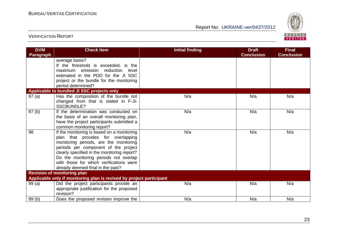

| <b>DVM</b>       | <b>Check Item</b>                                                                                                                                                                                                                                                                                                                          | <b>Initial finding</b> | <b>Draft</b><br><b>Conclusion</b> | <b>Final</b><br><b>Conclusion</b> |
|------------------|--------------------------------------------------------------------------------------------------------------------------------------------------------------------------------------------------------------------------------------------------------------------------------------------------------------------------------------------|------------------------|-----------------------------------|-----------------------------------|
| <b>Paragraph</b> | average basis?<br>If the threshold is exceeded, is the<br>maximum emission reduction level<br>estimated in the PDD for the JI SSC<br>project or the bundle for the monitoring<br>period determined?                                                                                                                                        |                        |                                   |                                   |
|                  | Applicable to bundled JI SSC projects only                                                                                                                                                                                                                                                                                                 |                        |                                   |                                   |
| 97(a)            | Has the composition of the bundle not<br>changed from that is stated in F-JI-<br><b>SSCBUNDLE?</b>                                                                                                                                                                                                                                         | N/a                    | N/a                               | N/a                               |
| 97(b)            | If the determination was conducted on<br>the basis of an overall monitoring plan,<br>have the project participants submitted a<br>common monitoring report?                                                                                                                                                                                | N/a                    | N/a                               | N/a                               |
| 98               | If the monitoring is based on a monitoring<br>plan that provides for overlapping<br>monitoring periods, are the monitoring<br>periods per component of the project<br>clearly specified in the monitoring report?<br>Do the monitoring periods not overlap<br>with those for which verifications were<br>already deemed final in the past? | N/a                    | N/a                               | N/a                               |
|                  | <b>Revision of monitoring plan</b>                                                                                                                                                                                                                                                                                                         |                        |                                   |                                   |
|                  | Applicable only if monitoring plan is revised by project participant                                                                                                                                                                                                                                                                       |                        |                                   |                                   |
| 99(a)            | Did the project participants provide an<br>appropriate justification for the proposed<br>revision?                                                                                                                                                                                                                                         | N/a                    | N/a                               | N/a                               |
| 99(b)            | Does the proposed revision improve the                                                                                                                                                                                                                                                                                                     | N/a                    | N/a                               | N/a                               |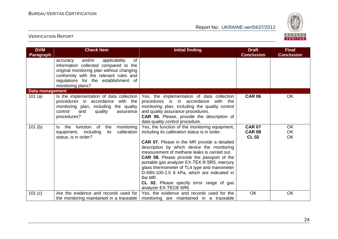

| <b>DVM</b><br><b>Paragraph</b> | <b>Check Item</b>                                                                                                                                                                                                                      | <b>Initial finding</b>                                                                                                                                                                                                                                                                                                                                                                                                                                                                                                                | <b>Draft</b><br><b>Conclusion</b>              | <b>Final</b><br><b>Conclusion</b> |
|--------------------------------|----------------------------------------------------------------------------------------------------------------------------------------------------------------------------------------------------------------------------------------|---------------------------------------------------------------------------------------------------------------------------------------------------------------------------------------------------------------------------------------------------------------------------------------------------------------------------------------------------------------------------------------------------------------------------------------------------------------------------------------------------------------------------------------|------------------------------------------------|-----------------------------------|
|                                | and/or<br>of<br>applicability<br>accuracy<br>information collected compared to the<br>original monitoring plan without changing<br>conformity with the relevant rules and<br>regulations for the establishment of<br>monitoring plans? |                                                                                                                                                                                                                                                                                                                                                                                                                                                                                                                                       |                                                |                                   |
| Data management                |                                                                                                                                                                                                                                        |                                                                                                                                                                                                                                                                                                                                                                                                                                                                                                                                       |                                                |                                   |
| 101(a)                         | Is the implementation of data collection<br>procedures in accordance with the<br>monitoring plan, including the quality<br>control<br>and<br>quality<br>assurance<br>procedures?                                                       | Yes, the implementation of data collection<br>procedures is in accordance<br>with the<br>monitoring plan, including the quality control<br>and quality assurance procedures.<br>CAR 06. Please, provide the description of<br>data quality control procedure.                                                                                                                                                                                                                                                                         | <b>CAR 06</b>                                  | <b>OK</b>                         |
| 101(b)                         | function<br>monitoring<br>of<br>the<br>the<br>ls.<br>calibration<br>equipment, including<br>its<br>status, is in order?                                                                                                                | Yes, the function of the monitoring equipment,<br>including its calibration status is in order.<br><b>CAR 07.</b> Please in the MR provide a detailed<br>description by which device the monitoring<br>measurement of methane leaks is carried out.<br><b>CAR 08.</b> Please provide the passport of the<br>portable gas analyzer EX-TEX ® SR5, mercury<br>glass thermometer of TL4 type and manometer<br>D-59N-100-1.0 6 kPa, which are indicated in<br>the MR.<br>CL 02. Please specify error range of gas<br>analyzer EX-TEC® SR5. | <b>CAR 07</b><br><b>CAR 08</b><br><b>CL 02</b> | <b>OK</b><br>OK<br>OK.            |
| 101 (c)                        | Are the evidence and records used for                                                                                                                                                                                                  | Yes, the evidence and records used for the                                                                                                                                                                                                                                                                                                                                                                                                                                                                                            | OK                                             | OK                                |
|                                | the monitoring maintained in a traceable                                                                                                                                                                                               | monitoring are maintained in a traceable                                                                                                                                                                                                                                                                                                                                                                                                                                                                                              |                                                |                                   |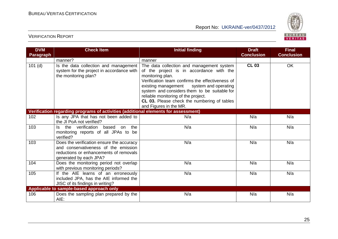

| <b>DVM</b><br><b>Paragraph</b> | <b>Check Item</b>                                                                                                                                     | <b>Initial finding</b>                                                                                                                                                                                                                                                                                                                                                      | <b>Draft</b><br><b>Conclusion</b> | <b>Final</b><br><b>Conclusion</b> |
|--------------------------------|-------------------------------------------------------------------------------------------------------------------------------------------------------|-----------------------------------------------------------------------------------------------------------------------------------------------------------------------------------------------------------------------------------------------------------------------------------------------------------------------------------------------------------------------------|-----------------------------------|-----------------------------------|
|                                | manner?                                                                                                                                               | manner                                                                                                                                                                                                                                                                                                                                                                      |                                   |                                   |
| $101$ (d)                      | Is the data collection and management<br>system for the project in accordance with<br>the monitoring plan?                                            | The data collection and management system<br>of the project is in accordance with the<br>monitoring plan.<br>Verification team confirms the effectiveness of<br>existing management<br>system and operating<br>system and considers them to be suitable for<br>reliable monitoring of the project.<br>CL 03. Please check the numbering of tables<br>and Figures in the MR. | <b>CL 03</b>                      | OK                                |
|                                | Verification regarding programs of activities (additional elements for assessment)                                                                    |                                                                                                                                                                                                                                                                                                                                                                             |                                   |                                   |
| 102                            | Is any JPA that has not been added to<br>the JI PoA not verified?                                                                                     | N/a                                                                                                                                                                                                                                                                                                                                                                         | N/a                               | N/a                               |
| 103                            | the verification<br>based<br>the<br>ls.<br>on<br>monitoring reports of all JPAs to be<br>verified?                                                    | N/a                                                                                                                                                                                                                                                                                                                                                                         | N/a                               | N/a                               |
| 103                            | Does the verification ensure the accuracy<br>and conservativeness of the emission<br>reductions or enhancements of removals<br>generated by each JPA? | N/a                                                                                                                                                                                                                                                                                                                                                                         | N/a                               | N/a                               |
| 104                            | Does the monitoring period not overlap<br>with previous monitoring periods?                                                                           | N/a                                                                                                                                                                                                                                                                                                                                                                         | N/a                               | N/a                               |
| 105                            | If the AIE learns of an erroneously<br>included JPA, has the AIE informed the<br>JISC of its findings in writing?                                     | N/a                                                                                                                                                                                                                                                                                                                                                                         | N/a                               | N/a                               |
|                                | Applicable to sample-based approach only                                                                                                              |                                                                                                                                                                                                                                                                                                                                                                             |                                   |                                   |
| 106                            | Does the sampling plan prepared by the<br>AIE:                                                                                                        | N/a                                                                                                                                                                                                                                                                                                                                                                         | N/a                               | N/a                               |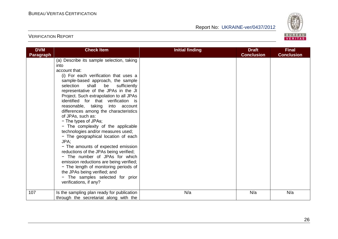

| <b>DVM</b> | <b>Check Item</b>                                                              | <b>Initial finding</b> | <b>Draft</b>      | <b>Final</b>      |
|------------|--------------------------------------------------------------------------------|------------------------|-------------------|-------------------|
| Paragraph  |                                                                                |                        | <b>Conclusion</b> | <b>Conclusion</b> |
|            | (a) Describe its sample selection, taking                                      |                        |                   |                   |
|            | into                                                                           |                        |                   |                   |
|            | account that:                                                                  |                        |                   |                   |
|            | (i) For each verification that uses a                                          |                        |                   |                   |
|            | sample-based approach, the sample                                              |                        |                   |                   |
|            | selection<br>shall<br>be<br>sufficiently                                       |                        |                   |                   |
|            | representative of the JPAs in the JI                                           |                        |                   |                   |
|            | Project. Such extrapolation to all JPAs<br>identified for that verification is |                        |                   |                   |
|            | reasonable, taking into account                                                |                        |                   |                   |
|            | differences among the characteristics                                          |                        |                   |                   |
|            | of JPAs, such as:                                                              |                        |                   |                   |
|            | - The types of JPAs;                                                           |                        |                   |                   |
|            | - The complexity of the applicable                                             |                        |                   |                   |
|            | technologies and/or measures used;                                             |                        |                   |                   |
|            | - The geographical location of each                                            |                        |                   |                   |
|            | JPA:                                                                           |                        |                   |                   |
|            | - The amounts of expected emission                                             |                        |                   |                   |
|            | reductions of the JPAs being verified;                                         |                        |                   |                   |
|            | - The number of JPAs for which                                                 |                        |                   |                   |
|            | emission reductions are being verified;                                        |                        |                   |                   |
|            | - The length of monitoring periods of                                          |                        |                   |                   |
|            | the JPAs being verified; and                                                   |                        |                   |                   |
|            | - The samples selected for prior                                               |                        |                   |                   |
|            | verifications, if any?                                                         |                        |                   |                   |
|            |                                                                                |                        |                   |                   |
| 107        | Is the sampling plan ready for publication                                     | N/a                    | N/a               | N/a               |
|            | through the secretariat along with the                                         |                        |                   |                   |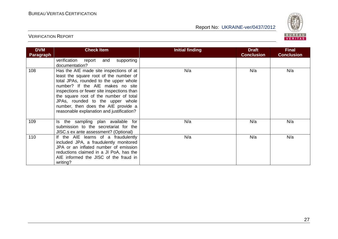

| <b>DVM</b><br><b>Paragraph</b> | <b>Check Item</b>                                                                                                                                                                                                                                                                                                                                                               | Initial finding | <b>Draft</b><br><b>Conclusion</b> | <b>Final</b><br><b>Conclusion</b> |
|--------------------------------|---------------------------------------------------------------------------------------------------------------------------------------------------------------------------------------------------------------------------------------------------------------------------------------------------------------------------------------------------------------------------------|-----------------|-----------------------------------|-----------------------------------|
|                                | verification<br>supporting<br>report<br>and<br>documentation?                                                                                                                                                                                                                                                                                                                   |                 |                                   |                                   |
| 108                            | Has the AIE made site inspections of at<br>least the square root of the number of<br>total JPAs, rounded to the upper whole<br>number? If the AIE makes no site<br>inspections or fewer site inspections than<br>the square root of the number of total<br>JPAs, rounded to the upper whole<br>number, then does the AIE provide a<br>reasonable explanation and justification? | N/a             | N/a                               | N/a                               |
| 109                            | Is the sampling plan available for<br>submission to the secretariat for the<br>JISC.s ex ante assessment? (Optional)                                                                                                                                                                                                                                                            | N/a             | N/a                               | N/a                               |
| 110                            | If the AIE learns of a fraudulently<br>included JPA, a fraudulently monitored<br>JPA or an inflated number of emission<br>reductions claimed in a JI PoA, has the<br>AIE informed the JISC of the fraud in<br>writing?                                                                                                                                                          | N/a             | N/a                               | N/a                               |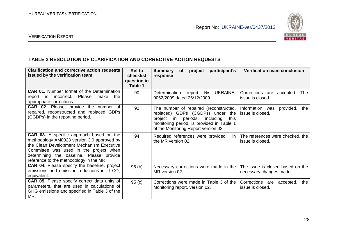

#### VERIFICATION REPORT

#### **TABLE 2 RESOLUTION OF CLARIFICATION AND CORRECTIVE ACTION REQUESTS**

| <b>Clarification and corrective action requests</b><br>issued by the verification team                                                                                                                                                                                      | Ref to<br><b>checklist</b><br>question in<br>Table 1 | participant's<br><b>Summary</b><br>of<br>project<br>response                                                                                                                                                | <b>Verification team conclusion</b>                         |
|-----------------------------------------------------------------------------------------------------------------------------------------------------------------------------------------------------------------------------------------------------------------------------|------------------------------------------------------|-------------------------------------------------------------------------------------------------------------------------------------------------------------------------------------------------------------|-------------------------------------------------------------|
| <b>CAR 01.</b> Number format of the Determination<br>Please<br>make<br>the<br>incorrect.<br>report<br><b>is</b><br>appropriate corrections.                                                                                                                                 | 90                                                   | <b>UKRAINE-</b><br>Determination<br>Nº<br>report<br>0062/2009 dated 26/12/2009.                                                                                                                             | Corrections are accepted.<br><b>The</b><br>issue is closed. |
| CAR 02. Please, provide the number of<br>repaired, reconstructed and replaced GDPs<br>(CGDPs) in the reporting period.                                                                                                                                                      | 92                                                   | The number of repaired (reconstructed,<br>replaced) GDPs (CGDPs) under the<br>project in<br>periods, including<br>this<br>monitoring period, is provided in Table 1<br>of the Monitoring Report version 02. | Information was<br>provided,<br>the<br>issue is closed.     |
| <b>CAR 03.</b> A specific approach based on the<br>methodology AM0023 version 3.0 approved by<br>the Clean Development Mechanism Executive<br>Committee was used in the project when<br>determining the baseline. Please provide<br>reference to the methodology in the MR. | 94                                                   | Required references were provided<br>in I<br>the MR version 02.                                                                                                                                             | The references were checked, the<br>issue is closed.        |
| <b>CAR 04.</b> Please specify the baseline, project<br>emissions and emission reductions in $t CO2$<br>equivalent.                                                                                                                                                          | 95(b)                                                | Necessary corrections were made in the<br>MR version 02.                                                                                                                                                    | The issue is closed based on the<br>necessary changes made. |
| <b>CAR 05.</b> Please specify correct data units of<br>parameters, that are used in calculations of<br>GHG emissions and specified in Table 3 of the<br>MR.                                                                                                                 | 95(c)                                                | Corrections were made in Table 3 of the<br>Monitoring report, version 02.                                                                                                                                   | Corrections are accepted,<br>the<br>issue is closed.        |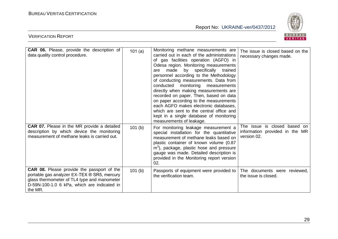

| <b>CAR 06.</b> Please, provide the description of<br>data quality control procedure.                                                                                                                      | 101(a) | Monitoring methane measurements are<br>carried out in each of the administrations<br>of gas facilities operation (AGFO) in<br>Odesa region. Monitoring measurements<br>made by specifically<br>trained<br>are<br>personnel according to the Methodology<br>of conducting measurements. Data from<br>conducted monitoring<br>measurements<br>directly when making measurements are<br>recorded on paper. Then, based on data<br>on paper according to the measurements<br>each AGFO makes electronic databases,<br>which are sent to the central office and<br>kept in a single database of monitoring<br>measurements of leakage. | The issue is closed based on the<br>necessary changes made.                   |
|-----------------------------------------------------------------------------------------------------------------------------------------------------------------------------------------------------------|--------|-----------------------------------------------------------------------------------------------------------------------------------------------------------------------------------------------------------------------------------------------------------------------------------------------------------------------------------------------------------------------------------------------------------------------------------------------------------------------------------------------------------------------------------------------------------------------------------------------------------------------------------|-------------------------------------------------------------------------------|
| CAR 07. Please in the MR provide a detailed<br>description by which device the monitoring<br>measurement of methane leaks is carried out.                                                                 | 101(b) | For monitoring leakage measurement a<br>special installation for the quantitative<br>measurement of methane leaks based on<br>plastic container of known volume (0.87<br>m <sup>3</sup> ), package, plastic hose and pressure<br>gauge was made. Detailed description is<br>provided in the Monitoring report version<br>02.                                                                                                                                                                                                                                                                                                      | The issue is closed based on<br>information provided in the MR<br>version 02. |
| <b>CAR 08.</b> Please provide the passport of the<br>portable gas analyzer EX-TEX ® SR5, mercury<br>glass thermometer of TL4 type and manometer<br>D-59N-100-1.0 6 kPa, which are indicated in<br>the MR. | 101(b) | Passports of equipment were provided to<br>the verification team.                                                                                                                                                                                                                                                                                                                                                                                                                                                                                                                                                                 | The documents were reviewed,<br>the issue is closed.                          |